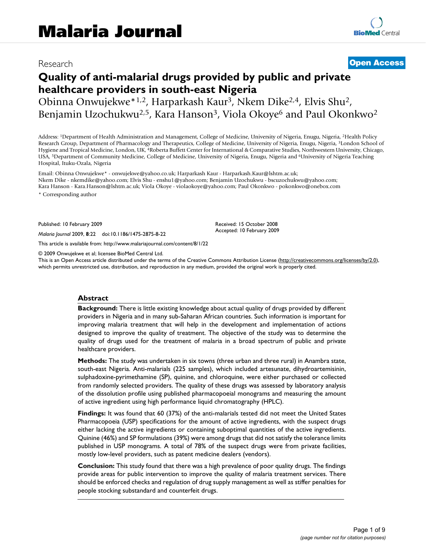# Research **[Open Access](http://www.biomedcentral.com/info/about/charter/)**

# **Quality of anti-malarial drugs provided by public and private healthcare providers in south-east Nigeria**

Obinna Onwujekwe\*1,2, Harparkash Kaur3, Nkem Dike2,4, Elvis Shu2, Benjamin Uzochukwu<sup>2,5</sup>, Kara Hanson<sup>3</sup>, Viola Okoye<sup>6</sup> and Paul Okonkwo<sup>2</sup>

Address: 1Department of Health Administration and Management, College of Medicine, University of Nigeria, Enugu, Nigeria, 2Health Policy Research Group, Department of Pharmacology and Therapeutics, College of Medicine, University of Nigeria, Enugu, Nigeria, <sup>3</sup>London School of Hygiene and Tropical Medicine, London, UK, 4Roberta Buffett Center for International & Comparative Studies, Northwestern University, Chicago, USA, 5Department of Community Medicine, College of Medicine, University of Nigeria, Enugu, Nigeria and 6University of Nigeria Teaching Hospital, Ituku-Ozala, Nigeria

Email: Obinna Onwujekwe\* - onwujekwe@yahoo.co.uk; Harparkash Kaur - Harparkash.Kaur@lshtm.ac.uk; Nkem Dike - nkemdike@yahoo.com; Elvis Shu - enshu1@yahoo.com; Benjamin Uzochukwu - bscuzochukwu@yahoo.com; Kara Hanson - Kara.Hanson@lshtm.ac.uk; Viola Okoye - violaokoye@yahoo.com; Paul Okonkwo - pokonkwo@onebox.com \* Corresponding author

Published: 10 February 2009

*Malaria Journal* 2009, **8**:22 doi:10.1186/1475-2875-8-22

[This article is available from: http://www.malariajournal.com/content/8/1/22](http://www.malariajournal.com/content/8/1/22)

© 2009 Onwujekwe et al; licensee BioMed Central Ltd.

This is an Open Access article distributed under the terms of the Creative Commons Attribution License [\(http://creativecommons.org/licenses/by/2.0\)](http://creativecommons.org/licenses/by/2.0), which permits unrestricted use, distribution, and reproduction in any medium, provided the original work is properly cited.

Received: 15 October 2008 Accepted: 10 February 2009

#### **Abstract**

**Background:** There is little existing knowledge about actual quality of drugs provided by different providers in Nigeria and in many sub-Saharan African countries. Such information is important for improving malaria treatment that will help in the development and implementation of actions designed to improve the quality of treatment. The objective of the study was to determine the quality of drugs used for the treatment of malaria in a broad spectrum of public and private healthcare providers.

**Methods:** The study was undertaken in six towns (three urban and three rural) in Anambra state, south-east Nigeria. Anti-malarials (225 samples), which included artesunate, dihydroartemisinin, sulphadoxine-pyrimethamine (SP), quinine, and chloroquine, were either purchased or collected from randomly selected providers. The quality of these drugs was assessed by laboratory analysis of the dissolution profile using published pharmacopoeial monograms and measuring the amount of active ingredient using high performance liquid chromatography (HPLC).

**Findings:** It was found that 60 (37%) of the anti-malarials tested did not meet the United States Pharmacopoeia (USP) specifications for the amount of active ingredients, with the suspect drugs either lacking the active ingredients or containing suboptimal quantities of the active ingredients. Quinine (46%) and SP formulations (39%) were among drugs that did not satisfy the tolerance limits published in USP monograms. A total of 78% of the suspect drugs were from private facilities, mostly low-level providers, such as patent medicine dealers (vendors).

**Conclusion:** This study found that there was a high prevalence of poor quality drugs. The findings provide areas for public intervention to improve the quality of malaria treatment services. There should be enforced checks and regulation of drug supply management as well as stiffer penalties for people stocking substandard and counterfeit drugs.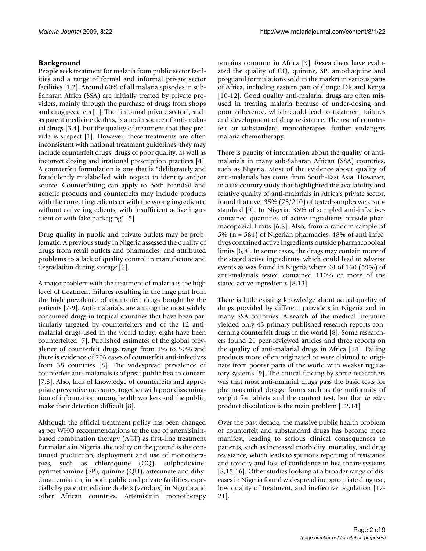# **Background**

People seek treatment for malaria from public sector facilities and a range of formal and informal private sector facilities [1,2]. Around 60% of all malaria episodes in sub-Saharan Africa (SSA) are initially treated by private providers, mainly through the purchase of drugs from shops and drug peddlers [1]. The "informal private sector", such as patent medicine dealers, is a main source of anti-malarial drugs [3,4], but the quality of treatment that they provide is suspect [1]. However, these treatments are often inconsistent with national treatment guidelines: they may include counterfeit drugs, drugs of poor quality, as well as incorrect dosing and irrational prescription practices [4]. A counterfeit formulation is one that is "deliberately and fraudulently mislabelled with respect to identity and/or source. Counterfeiting can apply to both branded and generic products and counterfeits may include products with the correct ingredients or with the wrong ingredients, without active ingredients, with insufficient active ingredient or with fake packaging" [5]

Drug quality in public and private outlets may be problematic. A previous study in Nigeria assessed the quality of drugs from retail outlets and pharmacies, and attributed problems to a lack of quality control in manufacture and degradation during storage [6].

A major problem with the treatment of malaria is the high level of treatment failures resulting in the large part from the high prevalence of counterfeit drugs bought by the patients [7-9]. Anti-malarials, are among the most widely consumed drugs in tropical countries that have been particularly targeted by counterfeiters and of the 12 antimalarial drugs used in the world today, eight have been counterfeited [7]. Published estimates of the global prevalence of counterfeit drugs range from 1% to 50% and there is evidence of 206 cases of counterfeit anti-infectives from 38 countries [8]. The widespread prevalence of counterfeit anti-malarials is of great public health concern [7,8]. Also, lack of knowledge of counterfeits and appropriate preventive measures, together with poor dissemination of information among health workers and the public, make their detection difficult [8].

Although the official treatment policy has been changed as per WHO recommendations to the use of artemisininbased combination therapy (ACT) as first-line treatment for malaria in Nigeria, the reality on the ground is the continued production, deployment and use of monotherapies, such as chloroquine (CQ), sulphadoxinepyrimethamine (SP), quinine (QU), artesunate and dihydroartemisinin, in both public and private facilities, especially by patent medicine dealers (vendors) in Nigeria and other African countries. Artemisinin monotherapy

remains common in Africa [9]. Researchers have evaluated the quality of CQ, quinine, SP, amodiaquine and proguanil formulations sold in the market in various parts of Africa, including eastern part of Congo DR and Kenya [10-12]. Good quality anti-malarial drugs are often misused in treating malaria because of under-dosing and poor adherence, which could lead to treatment failures and development of drug resistance. The use of counterfeit or substandard monotherapies further endangers malaria chemotherapy.

There is paucity of information about the quality of antimalarials in many sub-Saharan African (SSA) countries, such as Nigeria. Most of the evidence about quality of anti-malarials has come from South-East Asia. However, in a six-country study that highlighted the availability and relative quality of anti-malarials in Africa's private sector, found that over 35% (73/210) of tested samples were substandard [9]. In Nigeria, 36% of sampled anti-infectives contained quantities of active ingredients outside pharmacopoeial limits [6,8]. Also, from a random sample of 5% (n = 581) of Nigerian pharmacies, 48% of anti-infectives contained active ingredients outside pharmacopoieal limits [6,8]. In some cases, the drugs may contain more of the stated active ingredients, which could lead to adverse events as was found in Nigeria where 94 of 160 (59%) of anti-malarials tested contained 110% or more of the stated active ingredients [8,13].

There is little existing knowledge about actual quality of drugs provided by different providers in Nigeria and in many SSA countries. A search of the medical literature yielded only 43 primary published research reports concerning counterfeit drugs in the world [8]. Some researchers found 21 peer-reviewed articles and three reports on the quality of anti-malarial drugs in Africa [14]. Failing products more often originated or were claimed to originate from poorer parts of the world with weaker regulatory systems [9]. The critical finding by some researchers was that most anti-malarial drugs pass the basic tests for pharmaceutical dosage forms such as the uniformity of weight for tablets and the content test, but that *in vitro* product dissolution is the main problem [12,14].

Over the past decade, the massive public health problem of counterfeit and substandard drugs has become more manifest, leading to serious clinical consequences to patients, such as increased morbidity, mortality, and drug resistance, which leads to spurious reporting of resistance and toxicity and loss of confidence in healthcare systems [8,15,16]. Other studies looking at a broader range of diseases in Nigeria found widespread inappropriate drug use, low quality of treatment, and ineffective regulation [17- 21].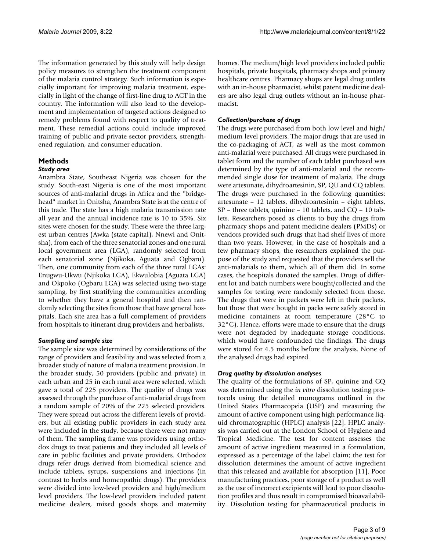The information generated by this study will help design policy measures to strengthen the treatment component of the malaria control strategy. Such information is especially important for improving malaria treatment, especially in light of the change of first-line drug to ACT in the country. The information will also lead to the development and implementation of targeted actions designed to remedy problems found with respect to quality of treatment. These remedial actions could include improved training of public and private sector providers, strengthened regulation, and consumer education.

# **Methods**

# *Study area*

Anambra State, Southeast Nigeria was chosen for the study. South-east Nigeria is one of the most important sources of anti-malarial drugs in Africa and the "bridgehead" market in Onitsha, Anambra State is at the centre of this trade. The state has a high malaria transmission rate all year and the annual incidence rate is 10 to 35%. Six sites were chosen for the study. These were the three largest urban centres (Awka (state capital), Nnewi and Onitsha), from each of the three senatorial zones and one rural local government area (LGA), randomly selected from each senatorial zone (Njikoka, Aguata and Ogbaru). Then, one community from each of the three rural LGAs: Enugwu-Ukwu (Njikoka LGA), Ekwulobia (Aguata LGA) and Okpoko (Ogbaru LGA) was selected using two-stage sampling, by first stratifying the communities according to whether they have a general hospital and then randomly selecting the sites from those that have general hospitals. Each site area has a full complement of providers from hospitals to itinerant drug providers and herbalists.

# *Sampling and sample size*

The sample size was determined by considerations of the range of providers and feasibility and was selected from a broader study of nature of malaria treatment provision. In the broader study, 50 providers (public and private) in each urban and 25 in each rural area were selected, which gave a total of 225 providers. The quality of drugs was assessed through the purchase of anti-malarial drugs from a random sample of 20% of the 225 selected providers. They were spread out across the different levels of providers, but all existing public providers in each study area were included in the study, because there were not many of them. The sampling frame was providers using orthodox drugs to treat patients and they included all levels of care in public facilities and private providers. Orthodox drugs refer drugs derived from biomedical science and include tablets, syrups, suspensions and injections (in contrast to herbs and homeopathic drugs). The providers were divided into low-level providers and high/medium level providers. The low-level providers included patent medicine dealers, mixed goods shops and maternity

homes. The medium/high level providers included public hospitals, private hospitals, pharmacy shops and primary healthcare centres. Pharmacy shops are legal drug outlets with an in-house pharmacist, whilst patent medicine dealers are also legal drug outlets without an in-house pharmacist.

# *Collection/purchase of drugs*

The drugs were purchased from both low level and high/ medium level providers. The major drugs that are used in the co-packaging of ACT, as well as the most common anti-malarial were purchased. All drugs were purchased in tablet form and the number of each tablet purchased was determined by the type of anti-malarial and the recommended single dose for treatment of malaria. The drugs were artesunate, dihydroartesinin, SP, QU and CQ tablets. The drugs were purchased in the following quantities: artesunate – 12 tablets, dihydroartesinin – eight tablets, SP – three tablets, quinine – 10 tablets, and CQ – 10 tablets. Researchers posed as clients to buy the drugs from pharmacy shops and patent medicine dealers (PMDs) or vendors provided such drugs that had shelf lives of more than two years. However, in the case of hospitals and a few pharmacy shops, the researchers explained the purpose of the study and requested that the providers sell the anti-malarials to them, which all of them did. In some cases, the hospitals donated the samples. Drugs of different lot and batch numbers were bought/collected and the samples for testing were randomly selected from those. The drugs that were in packets were left in their packets, but those that were bought in packs were safely stored in medicine containers at room temperature (28°C to 32°C). Hence, efforts were made to ensure that the drugs were not degraded by inadequate storage conditions, which would have confounded the findings. The drugs were stored for 4.5 months before the analysis. None of the analysed drugs had expired.

# *Drug quality by dissolution analyses*

The quality of the formulations of SP, quinine and CQ was determined using the *in vitro* dissolution testing protocols using the detailed monograms outlined in the United States Pharmacopeia (USP) and measuring the amount of active component using high performance liquid chromatographic (HPLC) analysis [22]. HPLC analysis was carried out at the London School of Hygiene and Tropical Medicine. The test for content assesses the amount of active ingredient measured in a formulation, expressed as a percentage of the label claim; the test for dissolution determines the amount of active ingredient that this released and available for absorption [11]. Poor manufacturing practices, poor storage of a product as well as the use of incorrect excipients will lead to poor dissolution profiles and thus result in compromised bioavailability. Dissolution testing for pharmaceutical products in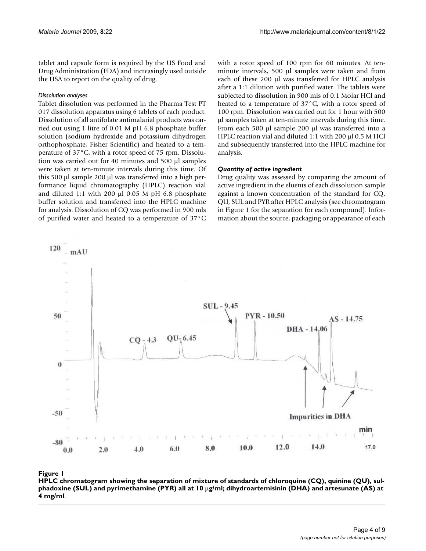tablet and capsule form is required by the US Food and Drug Administration (FDA) and increasingly used outside the USA to report on the quality of drug.

#### *Dissolution analyses*

Tablet dissolution was performed in the Pharma Test PT 017 dissolution apparatus using 6 tablets of each product. Dissolution of all antifolate antimalarial products was carried out using 1 litre of 0.01 M pH 6.8 phosphate buffer solution (sodium hydroxide and potassium dihydrogen orthophosphate, Fisher Scientific) and heated to a temperature of 37°C, with a rotor speed of 75 rpm. Dissolution was carried out for 40 minutes and 500 μl samples were taken at ten-minute intervals during this time. Of this 500 μl sample 200 μl was transferred into a high performance liquid chromatography (HPLC) reaction vial and diluted 1:1 with 200 μl 0.05 M pH 6.8 phosphate buffer solution and transferred into the HPLC machine for analysis. Dissolution of CQ was performed in 900 mls of purified water and heated to a temperature of 37°C with a rotor speed of 100 rpm for 60 minutes. At tenminute intervals, 500 μl samples were taken and from each of these 200 μl was transferred for HPLC analysis after a 1:1 dilution with purified water. The tablets were subjected to dissolution in 900 mls of 0.1 Molar HCl and heated to a temperature of 37°C, with a rotor speed of 100 rpm. Dissolution was carried out for 1 hour with 500 μl samples taken at ten-minute intervals during this time. From each 500 μl sample 200 μl was transferred into a HPLC reaction vial and diluted 1:1 with 200 μl 0.5 M HCl and subsequently transferred into the HPLC machine for analysis.

#### *Quantity of active ingredient*

Drug quality was assessed by comparing the amount of active ingredient in the eluents of each dissolution sample against a known concentration of the standard for CQ, QU, SUL and PYR after HPLC analysis (see chromatogram in Figure 1 for the separation for each compound). Information about the source, packaging or appearance of each



# Figure 1 and 2008 and 2008 and 2008 and 2008 and 2008 and 2008 and 2008 and 2008 and 2008 and 2008 and 2008 an

**HPLC chromatogram showing the separation of mixture of standards of chloroquine (CQ), quinine (QU), sulphadoxine (SUL) and pyrimethamine (PYR) all at 10** μ**g/ml; dihydroartemisinin (DHA) and artesunate (AS) at 4 mg/ml**.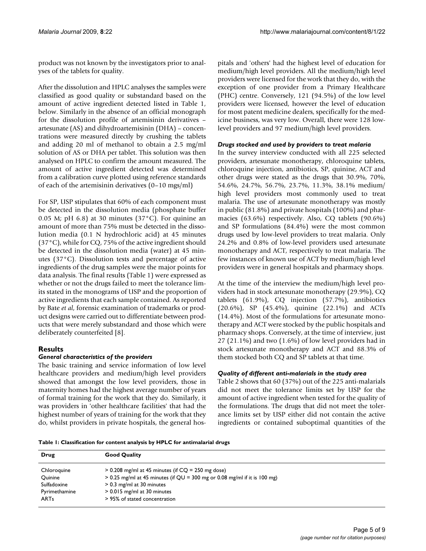product was not known by the investigators prior to analyses of the tablets for quality.

After the dissolution and HPLC analyses the samples were classified as good quality or substandard based on the amount of active ingredient detected listed in Table 1, below. Similarly in the absence of an official monograph for the dissolution profile of artemisinin derivatives – artesunate (AS) and dihydroartemisinin (DHA) – concentrations were measured directly by crushing the tablets and adding 20 ml of methanol to obtain a 2.5 mg/ml solution of AS or DHA per tablet. This solution was then analysed on HPLC to confirm the amount measured. The amount of active ingredient detected was determined from a calibration curve plotted using reference standards of each of the artemisinin derivatives (0–10 mgs/ml)

For SP, USP stipulates that 60% of each component must be detected in the dissolution media (phosphate buffer 0.05 M; pH 6.8) at 30 minutes (37 $^{\circ}$ C). For quinine an amount of more than 75% must be detected in the dissolution media (0.1 N hydrochloric acid) at 45 minutes (37°C), while for CQ, 75% of the active ingredient should be detected in the dissolution media (water) at 45 minutes (37°C). Dissolution tests and percentage of active ingredients of the drug samples were the major points for data analysis. The final results (Table 1) were expressed as whether or not the drugs failed to meet the tolerance limits stated in the monograms of USP and the proportion of active ingredients that each sample contained. As reported by Bate *et al*, forensic examination of trademarks or product designs were carried out to differentiate between products that were merely substandard and those which were deliberately counterfeited [8].

# **Results**

# *General characteristics of the providers*

The basic training and service information of low level healthcare providers and medium/high level providers showed that amongst the low level providers, those in maternity homes had the highest average number of years of formal training for the work that they do. Similarly, it was providers in 'other healthcare facilities' that had the highest number of years of training for the work that they do, whilst providers in private hospitals, the general hospitals and 'others' had the highest level of education for medium/high level providers. All the medium/high level providers were licensed for the work that they do, with the exception of one provider from a Primary Healthcare (PHC) centre. Conversely, 121 (94.5%) of the low level providers were licensed, however the level of education for most patent medicine dealers, specifically for the medicine business, was very low. Overall, there were 128 lowlevel providers and 97 medium/high level providers.

# *Drugs stocked and used by providers to treat malaria*

In the survey interview conducted with all 225 selected providers, artesunate monotherapy, chloroquine tablets, chloroquine injection, antibiotics, SP, quinine, ACT and other drugs were stated as the drugs that 30.9%, 70%, 54.6%, 24.7%, 56.7%, 23.7%, 11.3%, 38.1% medium/ high level providers most commonly used to treat malaria. The use of artesunate monotherapy was mostly in public (81.8%) and private hospitals (100%) and pharmacies (63.6%) respectively. Also, CQ tablets (90.6%) and SP formulations (84.4%) were the most common drugs used by low-level providers to treat malaria. Only 24.2% and 0.8% of low-level providers used artesunate monotherapy and ACT, respectively to treat malaria. The few instances of known use of ACT by medium/high level providers were in general hospitals and pharmacy shops.

At the time of the interview the medium/high level providers had in stock artesunate monotherapy (29.9%), CQ tablets (61.9%), CQ injection (57.7%), antibiotics (20.6%), SP (45.4%), quinine (22.1%) and ACTs (14.4%). Most of the formulations for artesunate monotherapy and ACT were stocked by the public hospitals and pharmacy shops. Conversely, at the time of interview, just 27 (21.1%) and two (1.6%) of low level providers had in stock artesunate monotherapy and ACT and 88.3% of them stocked both CQ and SP tablets at that time.

# *Quality of different anti-malarials in the study area*

Table 2 shows that 60 (37%) out of the 225 anti-malarials did not meet the tolerance limits set by USP for the amount of active ingredient when tested for the quality of the formulations. The drugs that did not meet the tolerance limits set by USP either did not contain the active ingredients or contained suboptimal quantities of the

**Table 1: Classification for content analysis by HPLC for antimalarial drugs**

| Drug          | <b>Good Quality</b>                                                         |  |  |  |  |
|---------------|-----------------------------------------------------------------------------|--|--|--|--|
| Chloroquine   | $> 0.208$ mg/ml at 45 minutes (if CQ = 250 mg dose)                         |  |  |  |  |
| Ouinine       | $> 0.25$ mg/ml at 45 minutes (if QU = 300 mg or 0.08 mg/ml if it is 100 mg) |  |  |  |  |
| Sulfadoxine   | $> 0.3$ mg/ml at 30 minutes                                                 |  |  |  |  |
| Pyrimethamine | $> 0.015$ mg/ml at 30 minutes                                               |  |  |  |  |
| <b>ARTs</b>   | > 95% of stated concentration                                               |  |  |  |  |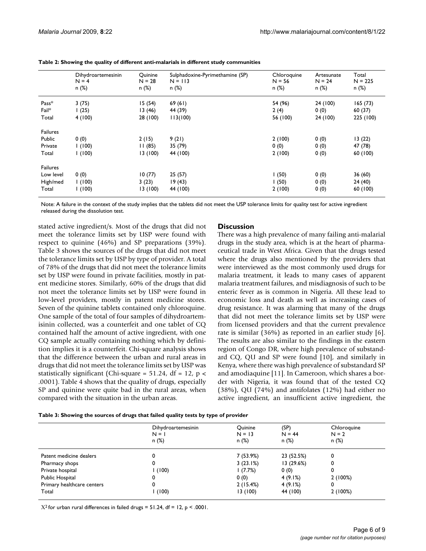|                                            | Dihydroartemesinin       | Quinine                    | Sulphadoxine-Pyrimethamine (SP) | Chloroquine              | Artesunate           | Total                          |
|--------------------------------------------|--------------------------|----------------------------|---------------------------------|--------------------------|----------------------|--------------------------------|
|                                            | $N = 4$                  | $N = 28$                   | $N = 113$                       | $N = 56$                 | $N = 24$             | $N = 225$                      |
|                                            | n (%)                    | n (%)                      | n (%)                           | n(%)                     | n (%)                | n (%)                          |
| Pass*                                      | 3(75)                    | 15(54)                     | 69(61)                          | 54 (96)                  | 24 (100)             | 165(73)                        |
| Fail*                                      | 1(25)                    | 13(46)                     | 44 (39)                         | 2(4)                     | 0(0)                 | 60(37)                         |
| Total                                      | 4(100)                   | 28 (100)                   | 113(100)                        | 56 (100)                 | 24 (100)             | 225 (100)                      |
| Failures<br>Public<br>Private<br>Total     | 0(0)<br>1(100)<br>1(100) | 2(15)<br>11(85)<br>13(100) | 9(21)<br>35 (79)<br>44 (100)    | 2(100)<br>0(0)<br>2(100) | 0(0)<br>0(0)<br>0(0) | 13(22)<br>47 (78)<br>60 (100)  |
| Failures<br>Low level<br>High/med<br>Total | 0(0)<br>1(100)<br>1(100) | 10(77)<br>3(23)<br>13(100) | 25(57)<br>19(43)<br>44 (100)    | 1(50)<br>1(50)<br>2(100) | 0(0)<br>0(0)<br>0(0) | 36 (60)<br>24 (40)<br>60 (100) |

#### **Table 2: Showing the quality of different anti-malarials in different study communities**

Note: A failure in the context of the study implies that the tablets did not meet the USP tolerance limits for quality test for active ingredient released during the dissolution test.

stated active ingredient/s. Most of the drugs that did not meet the tolerance limits set by USP were found with respect to quinine (46%) and SP preparations (39%). Table 3 shows the sources of the drugs that did not meet the tolerance limits set by USP by type of provider. A total of 78% of the drugs that did not meet the tolerance limits set by USP were found in private facilities, mostly in patent medicine stores. Similarly, 60% of the drugs that did not meet the tolerance limits set by USP were found in low-level providers, mostly in patent medicine stores. Seven of the quinine tablets contained only chloroquine. One sample of the total of four samples of dihydroartemisinin collected, was a counterfeit and one tablet of CQ contained half the amount of active ingredient, with one CQ sample actually containing nothing which by definition implies it is a counterfeit. Chi-square analysis shows that the difference between the urban and rural areas in drugs that did not meet the tolerance limits set by USP was statistically significant (Chi-square = 51.24, df = 12,  $p \lt$ .0001). Table 4 shows that the quality of drugs, especially SP and quinine were quite bad in the rural areas, when compared with the situation in the urban areas.

# **Discussion**

There was a high prevalence of many failing anti-malarial drugs in the study area, which is at the heart of pharmaceutical trade in West Africa. Given that the drugs tested where the drugs also mentioned by the providers that were interviewed as the most commonly used drugs for malaria treatment, it leads to many cases of apparent malaria treatment failures, and misdiagnosis of such to be enteric fever as is common in Nigeria. All these lead to economic loss and death as well as increasing cases of drug resistance. It was alarming that many of the drugs that did not meet the tolerance limits set by USP were from licensed providers and that the current prevalence rate is similar (36%) as reported in an earlier study [6]. The results are also similar to the findings in the eastern region of Congo DR, where high prevalence of substandard CQ, QU and SP were found [10], and similarly in Kenya, where there was high prevalence of substandard SP and amodiaquine [11]. In Cameroon, which shares a border with Nigeria, it was found that of the tested CQ (38%), QU (74%) and antifolates (12%) had either no active ingredient, an insufficient active ingredient, the

| Table 3: Showing the sources of drugs that failed quality tests by type of provider |  |  |  |
|-------------------------------------------------------------------------------------|--|--|--|
|-------------------------------------------------------------------------------------|--|--|--|

|                            | Dihydroartemesinin<br>$N = 1$<br>n(%) | Quinine<br>$N = 13$<br>n (%) | (SP)<br>$N = 44$<br>n(%) | Chloroquine<br>$N = 2$<br>$n$ (%) |
|----------------------------|---------------------------------------|------------------------------|--------------------------|-----------------------------------|
| Patent medicine dealers    | 0                                     | 7(53.9%)                     | 23 (52.5%)               | 0                                 |
| Pharmacy shops             | 0                                     | 3(23.1%)                     | 13(29.6%)                |                                   |
| Private hospital           | (100)                                 | (7.7%)                       | 0(0)                     |                                   |
| Public Hospital            | 0                                     | 0(0)                         | 4(9.1%)                  | 2(100%)                           |
| Primary healthcare centers | 0                                     | 2(15.4%)                     | 4(9.1%)                  |                                   |
| Total                      | (100)                                 | 13(100)                      | 44 (100)                 | 2(100%)                           |

 $X<sup>2</sup>$  for urban rural differences in failed drugs = 51.24, df = 12, p < .0001.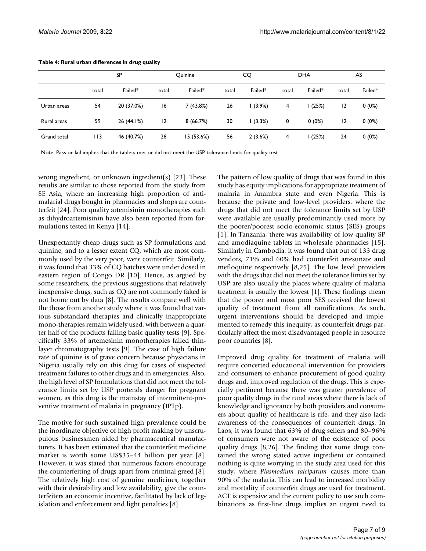|             | <b>SP</b> |            | Quinine |            | CQ    |         | <b>DHA</b> |          | AS    |          |
|-------------|-----------|------------|---------|------------|-------|---------|------------|----------|-------|----------|
|             | total     | Failed*    | total   | Failed*    | total | Failed* | total      | Failed*  | total | Failed*  |
| Urban areas | 54        | 20 (37.0%) | 16      | 7(43.8%)   | 26    | (3.9%)  | 4          | l (25%)  | 12    | $0(0\%)$ |
| Rural areas | 59        | 26 (44.1%) | 12      | 8(66.7%)   | 30    | (3.3%)  | 0          | $0(0\%)$ | 12    | $0(0\%)$ |
| Grand total | 113       | 46 (40.7%) | 28      | 15 (53.6%) | 56    | 2(3.6%) | 4          | (25%)    | 24    | $0(0\%)$ |

#### **Table 4: Rural urban differences in drug quality**

Note: Pass or fail implies that the tablets met or did not meet the USP tolerance limits for quality test

wrong ingredient, or unknown ingredient(s) [23]. These results are similar to those reported from the study from SE Asia, where an increasing high proportion of antimalarial drugs bought in pharmacies and shops are counterfeit [24]. Poor quality artemisinin monotherapies such as dihydroartemisinin have also been reported from formulations tested in Kenya [14].

Unexpectantly cheap drugs such as SP formulations and quinine, and to a lesser extent CQ, which are most commonly used by the very poor, were counterfeit. Similarly, it was found that 33% of CQ batches were under dosed in eastern region of Congo DR [10]. Hence, as argued by some researchers, the previous suggestions that relatively inexpensive drugs, such as CQ are not commonly faked is not borne out by data [8]. The results compare well with the those from another study where it was found that various substandard therapies and clinically inappropriate mono-therapies remain widely used, with between a quarter half of the products failing basic quality tests [9]. Specifically 33% of artemesinin monotherapies failed thinlayer chromatography tests [9]. The case of high failure rate of quinine is of grave concern because physicians in Nigeria usually rely on this drug for cases of suspected treatment failures to other drugs and in emergencies. Also, the high level of SP formulations that did not meet the tolerance limits set by USP portends danger for pregnant women, as this drug is the mainstay of intermittent-preventive treatment of malaria in pregnancy (IPTp).

The motive for such sustained high prevalence could be the inordinate objective of high profit making by unscrupulous businessmen aided by pharmaceutical manufacturers. It has been estimated that the counterfeit medicine market is worth some US\$35–44 billion per year [8]. However, it was stated that numerous factors encourage the counterfeiting of drugs apart from criminal greed [8]. The relatively high cost of genuine medicines, together with their desirability and low availability, give the counterfeiters an economic incentive, facilitated by lack of legislation and enforcement and light penalties [8].

The pattern of low quality of drugs that was found in this study has equity implications for appropriate treatment of malaria in Anambra state and even Nigeria. This is because the private and low-level providers, where the drugs that did not meet the tolerance limits set by USP were available are usually predominantly used more by the poorer/poorest socio-economic status (SES) groups [1]. In Tanzania, there was availability of low quality SP and amodiaquine tablets in wholesale pharmacies [15]. Similarly in Cambodia, it was found that out of 133 drug vendors, 71% and 60% had counterfeit artesunate and mefloquine respectively [8,25]. The low level providers with the drugs that did not meet the tolerance limits set by USP are also usually the places where quality of malaria treatment is usually the lowest [1]. These findings mean that the poorer and most poor SES received the lowest quality of treatment from all ramifications. As such, urgent interventions should be developed and implemented to remedy this inequity, as counterfeit drugs particularly affect the most disadvantaged people in resource poor countries [8].

Improved drug quality for treatment of malaria will require concerted educational intervention for providers and consumers to enhance procurement of good quality drugs and, improved regulation of the drugs. This is especially pertinent because there was greater prevalence of poor quality drugs in the rural areas where there is lack of knowledge and ignorance by both providers and consumers about quality of healthcare is rife, and they also lack awareness of the consequences of counterfeit drugs. In Laos, it was found that 63% of drug sellers and 80–96% of consumers were not aware of the existence of poor quality drugs [8,26]. The finding that some drugs contained the wrong stated active ingredient or contained nothing is quite worrying in the study area used for this study, where *Plasmodium falciparum* causes more than 90% of the malaria. This can lead to increased morbidity and mortality if counterfeit drugs are used for treatment. ACT is expensive and the current policy to use such combinations as first-line drugs implies an urgent need to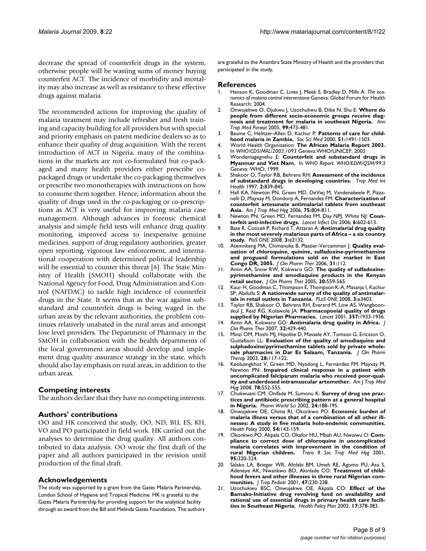decrease the spread of counterfeit drugs in the system, otherwise people will be wasting sums of money buying counterfeit ACT. The incidence of morbidity and mortality may also increase as well as resistance to these effective drugs against malaria.

The recommended actions for improving the quality of malaria treatment may include refresher and fresh training and capacity building for all providers but with special and priority emphasis on patent medicine dealers so as to enhance their quality of drug acquisition. With the recent introduction of ACT in Nigeria, many of the combinations in the markets are not co-formulated but co-packaged and many health providers either prescribe copackaged drugs or undertake the co-packaging themselves or prescribe two monotherapies with instructions on how to consume them together. Hence, information about the quality of drugs used in the co-packaging or co-prescriptions as ACT is very useful for improving malaria case management. Although advances in forensic chemical analysis and simple field tests will enhance drug quality monitoring, improved access to inexpensive genuine medicines, support of drug regulatory authorities, greater open reporting, vigorous law enforcement, and international cooperation with determined political leadership will be essential to counter this threat [8]. The State Ministry of Health (SMOH) should collaborate with the National Agency for Food, Drug Administration and Control (NAFDAC) to tackle high incidence of counterfeit drugs in the State. It seems that as the war against substandard and counterfeit drugs is being waged in the urban areas by the relevant authorities, the problem continues relatively unabated in the rural areas and amongst low level providers. The Department of Pharmacy in the SMOH in collaboration with the health departments of the local government areas should develop and implement drug quality assurance strategy in the state, which should also lay emphasis on rural areas, in addition to the urban areas.

#### **Competing interests**

The authors declare that they have no competing interests.

## **Authors' contributions**

OO and HK conceived the study, OO, ND, BU, ES, KH, VO and PO participated in field work. HK carried out the analyses to determine the drug quality. All authors contributed to data analysis. OO wrote the first draft of the paper and all authors participated in the revision until production of the final draft.

#### **Acknowledgements**

The study was supported by a grant from the Gates Malaria Partnership, London School of Hygiene and Tropical Medicine. HK is grateful to the Gates Malaria Partnership for providing support for the analytical facility through an award from the Bill and Melinda Gates Foundation. The authors are grateful to the Anambra State Ministry of Health and the providers that participated in the study.

#### **References**

- 1. Hanson K, Goodman C, Lines J, Meek S, Bradley D, Mills A: *The economics of malaria control interventions* Geneva: Global Forum for Health Research; 2004.
- 2. Onwujekwe O, Ojukwu J, Uzochukwu B, Dike N, Shu E: **[Where do](http://www.ncbi.nlm.nih.gov/entrez/query.fcgi?cmd=Retrieve&db=PubMed&dopt=Abstract&list_uids=16004706) [people from different socio-economic groups receive diag](http://www.ncbi.nlm.nih.gov/entrez/query.fcgi?cmd=Retrieve&db=PubMed&dopt=Abstract&list_uids=16004706)[nosis and treatment for malaria in southeast Nigeria.](http://www.ncbi.nlm.nih.gov/entrez/query.fcgi?cmd=Retrieve&db=PubMed&dopt=Abstract&list_uids=16004706)** *Ann Trop Med Parasit* 2005, **99:**473-481.
- 3. Baume C, Helitzer-Allen D, Kachur P: **[Patterns of care for child](http://www.ncbi.nlm.nih.gov/entrez/query.fcgi?cmd=Retrieve&db=PubMed&dopt=Abstract&list_uids=11077952)[hood malaria in Zambia.](http://www.ncbi.nlm.nih.gov/entrez/query.fcgi?cmd=Retrieve&db=PubMed&dopt=Abstract&list_uids=11077952)** *Soc Sci Med* 2000, **51:**1491-1503.
- 4. World Health Organization: **The African Malaria Report 2003.** In *WHO/CDS/MAL/2003.1093* Geneva:WHO/UNICEF; 2003.
- 5. Wondemagegnehu E: **Counterfeit and substandard drugs in Myanmar and Viet Nam.** In *WHO Report. WHO/EDM/QSM/99.3* Geneva: WHO; 1999.
- 6. Shakoor O, Taylor RB, Behrens RH: **[Assessment of the incidence](http://www.ncbi.nlm.nih.gov/entrez/query.fcgi?cmd=Retrieve&db=PubMed&dopt=Abstract&list_uids=9315042) [of substandard drugs in developing countries.](http://www.ncbi.nlm.nih.gov/entrez/query.fcgi?cmd=Retrieve&db=PubMed&dopt=Abstract&list_uids=9315042)** *Trop Med Int Health* 1997, **2:**839-845.
- 7. Hall KA, Newton PN, Green MD, DeViej M, Vandenabeele P, Pizzanelli D, Mayxay M, Dondorp A, Fernandez FM: **[Characterization of](http://www.ncbi.nlm.nih.gov/entrez/query.fcgi?cmd=Retrieve&db=PubMed&dopt=Abstract&list_uids=17123969) [counterfeit artesunate antimalarial tablets from southeast](http://www.ncbi.nlm.nih.gov/entrez/query.fcgi?cmd=Retrieve&db=PubMed&dopt=Abstract&list_uids=17123969) [Asia.](http://www.ncbi.nlm.nih.gov/entrez/query.fcgi?cmd=Retrieve&db=PubMed&dopt=Abstract&list_uids=17123969)** *Am J Trop Med Hyg* 2006, **75:**804-811.
- 8. Newton PN, Green MD, Fernandez FM, Day NPJ, White NJ: **[Coun](http://www.ncbi.nlm.nih.gov/entrez/query.fcgi?cmd=Retrieve&db=PubMed&dopt=Abstract&list_uids=16931411)[terfeit anti-infective drugs.](http://www.ncbi.nlm.nih.gov/entrez/query.fcgi?cmd=Retrieve&db=PubMed&dopt=Abstract&list_uids=16931411)** *Lancet Infect Dis* 2006, **6:**602-613.
- 9. Bate R, Coticeli P, Richard T, Attaran A: **[Antimalarial drug quality](http://www.ncbi.nlm.nih.gov/entrez/query.fcgi?cmd=Retrieve&db=PubMed&dopt=Abstract&list_uids=18461128) [in the most severely malarious parts of Africa – a six country](http://www.ncbi.nlm.nih.gov/entrez/query.fcgi?cmd=Retrieve&db=PubMed&dopt=Abstract&list_uids=18461128) [study.](http://www.ncbi.nlm.nih.gov/entrez/query.fcgi?cmd=Retrieve&db=PubMed&dopt=Abstract&list_uids=18461128)** *PloS ONE* 2008, **3:**e2132.
- 10. Atemnkeng MA, Chimanuka B, Plaizier-Vercammen J: **Quality evaluation of chloroquine, quinine, sulfadoxine-pyrimethamine and proguanil formulations sold on the market in East Congo DR, 2005.** *J Clin Pharm Ther* 2006, **31:**112.
- 11. Amin AA, Snow RW, Kokwaro GO: **[The quality of sulfadoxine](http://www.ncbi.nlm.nih.gov/entrez/query.fcgi?cmd=Retrieve&db=PubMed&dopt=Abstract&list_uids=16336288)[pyrimethamine and amodiaquine products in the Kenyan](http://www.ncbi.nlm.nih.gov/entrez/query.fcgi?cmd=Retrieve&db=PubMed&dopt=Abstract&list_uids=16336288) [retail sector.](http://www.ncbi.nlm.nih.gov/entrez/query.fcgi?cmd=Retrieve&db=PubMed&dopt=Abstract&list_uids=16336288)** *J Clin Pharm Ther* 2005, **30:**559-565.
- 12. Kaur H, Goodman C, Thompson E, Thompson K-A, Masanja I, Kachur SP, Abdulla S: **[A nationwide survey of the quality of antimalar](http://www.ncbi.nlm.nih.gov/entrez/query.fcgi?cmd=Retrieve&db=PubMed&dopt=Abstract&list_uids=18923672)[ials in retail outlets in Tanzania.](http://www.ncbi.nlm.nih.gov/entrez/query.fcgi?cmd=Retrieve&db=PubMed&dopt=Abstract&list_uids=18923672)** *PLoS ONE* 2008, **3:**e3403.
- 13. Taylor RB, Shakoor O, Behrens RH, Everard M, Low AS, Wangboonskul J, Reid RG, Kolawole JA: **[Pharmacopoeial quality of drugs](http://www.ncbi.nlm.nih.gov/entrez/query.fcgi?cmd=Retrieve&db=PubMed&dopt=Abstract&list_uids=11425415) [supplied by Nigerian Pharmacies.](http://www.ncbi.nlm.nih.gov/entrez/query.fcgi?cmd=Retrieve&db=PubMed&dopt=Abstract&list_uids=11425415)** *Lancet* 2001, **357:**1933-1936.
- 14. Amin AA, Kokwaro GO: **[Antimalaria drug quality in Africa.](http://www.ncbi.nlm.nih.gov/entrez/query.fcgi?cmd=Retrieve&db=PubMed&dopt=Abstract&list_uids=17875107)** *J Clin Pharm Ther* 2007, **32:**429-440.
- 15. Minzi OM, Moshi MJ, Hipolite D, Massele AY, Tomson G, Ericsson O, Gustafsson LL: **Evaluation of the quality of amodiaquine and sulphadoxine/pyrimethamine tablets sold by private wholesale pharmacies in Dar Es Salaam, Tanzania.** *J Clin Pharm Therap* 2003, **28:**117-122.
- 16. Keoluangkhot V, Green MD, Nyadong L, Fernández FM, Mayxay M, Newton PN: **[Impaired clinical response in a patient with](http://www.ncbi.nlm.nih.gov/entrez/query.fcgi?cmd=Retrieve&db=PubMed&dopt=Abstract&list_uids=18385347) [uncomplicated falciparum malaria who received poor-qual](http://www.ncbi.nlm.nih.gov/entrez/query.fcgi?cmd=Retrieve&db=PubMed&dopt=Abstract&list_uids=18385347)[ity and underdosed intramuscular artemether.](http://www.ncbi.nlm.nih.gov/entrez/query.fcgi?cmd=Retrieve&db=PubMed&dopt=Abstract&list_uids=18385347)** *Am J Trop Med Hyg* 2008, **78:**552-555.
- 17. Chukwuani CM, Onifade M, Sumonu K: **[Survey of drug use prac](http://www.ncbi.nlm.nih.gov/entrez/query.fcgi?cmd=Retrieve&db=PubMed&dopt=Abstract&list_uids=12426963)[tices and antibiotic prescribing pattern at a general hospital](http://www.ncbi.nlm.nih.gov/entrez/query.fcgi?cmd=Retrieve&db=PubMed&dopt=Abstract&list_uids=12426963) [in Nigeria.](http://www.ncbi.nlm.nih.gov/entrez/query.fcgi?cmd=Retrieve&db=PubMed&dopt=Abstract&list_uids=12426963)** *Pharm World Sci* 2002, **24:**188-195.
- 18. Onwujekwe OE, Chima RI, Okonkwo PO: **[Economic burden of](http://www.ncbi.nlm.nih.gov/entrez/query.fcgi?cmd=Retrieve&db=PubMed&dopt=Abstract&list_uids=11094267) [malaria illness versus that of a combination of all other ill](http://www.ncbi.nlm.nih.gov/entrez/query.fcgi?cmd=Retrieve&db=PubMed&dopt=Abstract&list_uids=11094267)nesses: A study in five malaria holo-endemic communities.** *Health Policy* 2000, **54:**143-159.
- 19. Okonkwo PO, Akpala CO, Okafor HU, Mbah AU, Nwaiwu O: **[Com](http://www.ncbi.nlm.nih.gov/entrez/query.fcgi?cmd=Retrieve&db=PubMed&dopt=Abstract&list_uids=11491007)[pliance to correct dose of chloroquine in uncomplicated](http://www.ncbi.nlm.nih.gov/entrez/query.fcgi?cmd=Retrieve&db=PubMed&dopt=Abstract&list_uids=11491007) malaria correlates with improvement in the condition of [rural Nigerian children.](http://www.ncbi.nlm.nih.gov/entrez/query.fcgi?cmd=Retrieve&db=PubMed&dopt=Abstract&list_uids=11491007)** *Trans R Soc Trop Med Hyg* 2001, **95:**320-324.
- 20. Salako LA, Brieger WR, Afolabi BM, Umeh RE, Agomo PU, Asa S, Adeneye AK, Nwankwo BO, Akinlade CO: **[Treatment of child](http://www.ncbi.nlm.nih.gov/entrez/query.fcgi?cmd=Retrieve&db=PubMed&dopt=Abstract&list_uids=11523765)[hood fevers and other illnesses in three rural Nigerian com](http://www.ncbi.nlm.nih.gov/entrez/query.fcgi?cmd=Retrieve&db=PubMed&dopt=Abstract&list_uids=11523765)[munities.](http://www.ncbi.nlm.nih.gov/entrez/query.fcgi?cmd=Retrieve&db=PubMed&dopt=Abstract&list_uids=11523765)** *J Trop Pediatr* 2001, **47:**230-238.
- 21. Uzochukwu BSC, Onwujekwe OE, Akpala CO: **[Effect of the](http://www.ncbi.nlm.nih.gov/entrez/query.fcgi?cmd=Retrieve&db=PubMed&dopt=Abstract&list_uids=12424209) [Bamako-Initiative drug revolving fund on availability and](http://www.ncbi.nlm.nih.gov/entrez/query.fcgi?cmd=Retrieve&db=PubMed&dopt=Abstract&list_uids=12424209) rational use of essential drugs in primary health care facili[ties in Southeast Nigeria.](http://www.ncbi.nlm.nih.gov/entrez/query.fcgi?cmd=Retrieve&db=PubMed&dopt=Abstract&list_uids=12424209)** *Health Policy Plan* 2002, **17:**378-383.